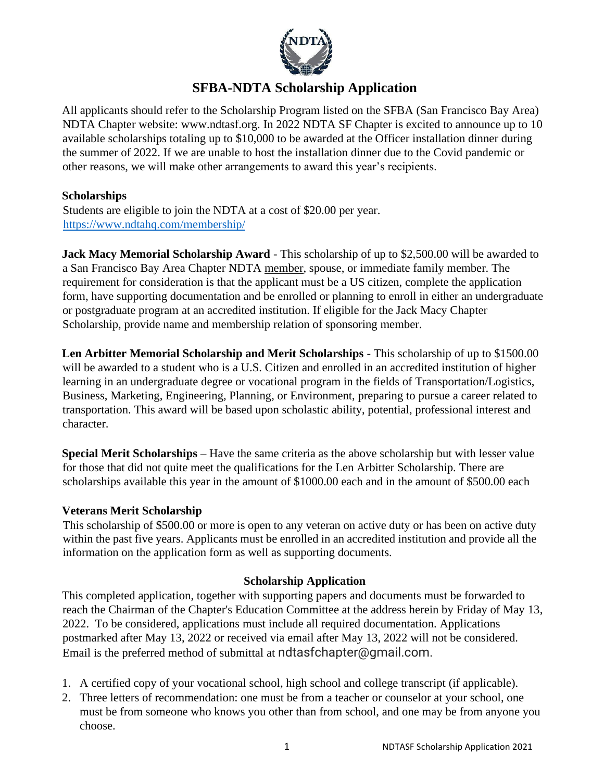

# **SFBA-NDTA Scholarship Application**

All applicants should refer to the Scholarship Program listed on the SFBA (San Francisco Bay Area) NDTA Chapter website: [www.ndtasf.org.](http://www.ndtasf.org/) In 2022 NDTA SF Chapter is excited to announce up to 10 available scholarships totaling up to \$10,000 to be awarded at the Officer installation dinner during the summer of 2022. If we are unable to host the installation dinner due to the Covid pandemic or other reasons, we will make other arrangements to award this year's recipients.

### **Scholarships**

Students are eligible to join the NDTA at a cost of \$20.00 per year. <https://www.ndtahq.com/membership/>

**Jack Macy Memorial Scholarship Award** - This scholarship of up to \$2,500.00 will be awarded to a San Francisco Bay Area Chapter NDTA member, spouse, or immediate family member. The requirement for consideration is that the applicant must be a US citizen, complete the application form, have supporting documentation and be enrolled or planning to enroll in either an undergraduate or postgraduate program at an accredited institution. If eligible for the Jack Macy Chapter Scholarship, provide name and membership relation of sponsoring member.

**Len Arbitter Memorial Scholarship and Merit Scholarships** - This scholarship of up to \$1500.00 will be awarded to a student who is a U.S. Citizen and enrolled in an accredited institution of higher learning in an undergraduate degree or vocational program in the fields of Transportation/Logistics, Business, Marketing, Engineering, Planning, or Environment, preparing to pursue a career related to transportation. This award will be based upon scholastic ability, potential, professional interest and character.

**Special Merit Scholarships** – Have the same criteria as the above scholarship but with lesser value for those that did not quite meet the qualifications for the Len Arbitter Scholarship. There are scholarships available this year in the amount of \$1000.00 each and in the amount of \$500.00 each

### **Veterans Merit Scholarship**

This scholarship of \$500.00 or more is open to any veteran on active duty or has been on active duty within the past five years. Applicants must be enrolled in an accredited institution and provide all the information on the application form as well as supporting documents.

### **Scholarship Application**

This completed application, together with supporting papers and documents must be forwarded to reach the Chairman of the Chapter's Education Committee at the address herein by Friday of May 13, 2022. To be considered, applications must include all required documentation. Applications postmarked after May 13, 2022 or received via email after May 13, 2022 will not be considered. Email is the preferred method of submittal at ndtasfchapter@gmail.com.

- 1. A certified copy of your vocational school, high school and college transcript (if applicable).
- 2. Three letters of recommendation: one must be from a teacher or counselor at your school, one must be from someone who knows you other than from school, and one may be from anyone you choose.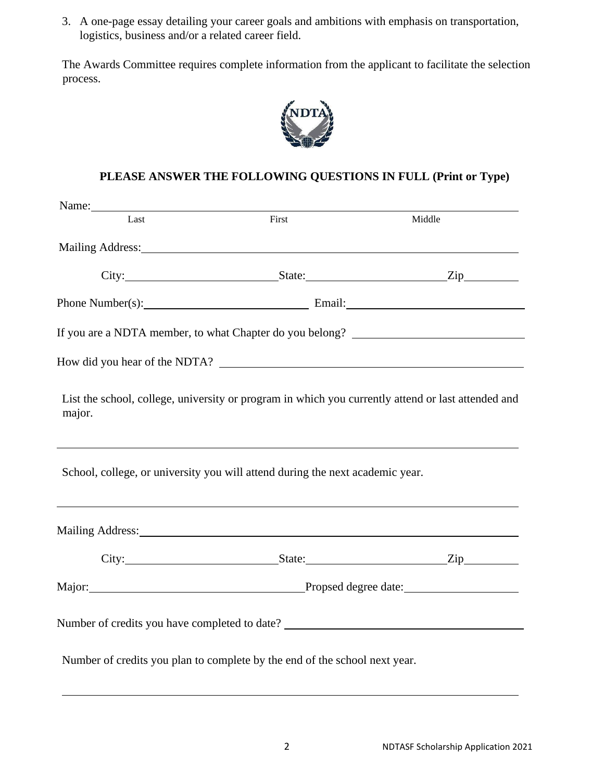3. A one-page essay detailing your career goals and ambitions with emphasis on transportation, logistics, business and/or a related career field.

The Awards Committee requires complete information from the applicant to facilitate the selection process.



## **PLEASE ANSWER THE FOLLOWING QUESTIONS IN FULL (Print or Type)**

| Name: Name |                                                                                                                                                                                                                                |        |
|------------|--------------------------------------------------------------------------------------------------------------------------------------------------------------------------------------------------------------------------------|--------|
| Last       | First                                                                                                                                                                                                                          | Middle |
|            |                                                                                                                                                                                                                                |        |
|            | City: <u>City: Zip City:</u>                                                                                                                                                                                                   |        |
|            | Phone Number(s): Email: Email:                                                                                                                                                                                                 |        |
|            | If you are a NDTA member, to what Chapter do you belong? ________________________                                                                                                                                              |        |
|            | How did you hear of the NDTA?                                                                                                                                                                                                  |        |
| major.     | List the school, college, university or program in which you currently attend or last attended and                                                                                                                             |        |
|            | School, college, or university you will attend during the next academic year.                                                                                                                                                  |        |
|            | Mailing Address: National Address: National Address: National Address: National Address: National Address: National Address: National Address: National Address: National Address: National Address: National Address: Nationa |        |
|            |                                                                                                                                                                                                                                |        |
|            | Major: Major: New York Propsed degree date: Major: New York Propsed degree date:                                                                                                                                               |        |
|            | Number of credits you have completed to date? ___________________________________                                                                                                                                              |        |
|            | Number of credits you plan to complete by the end of the school next year.                                                                                                                                                     |        |